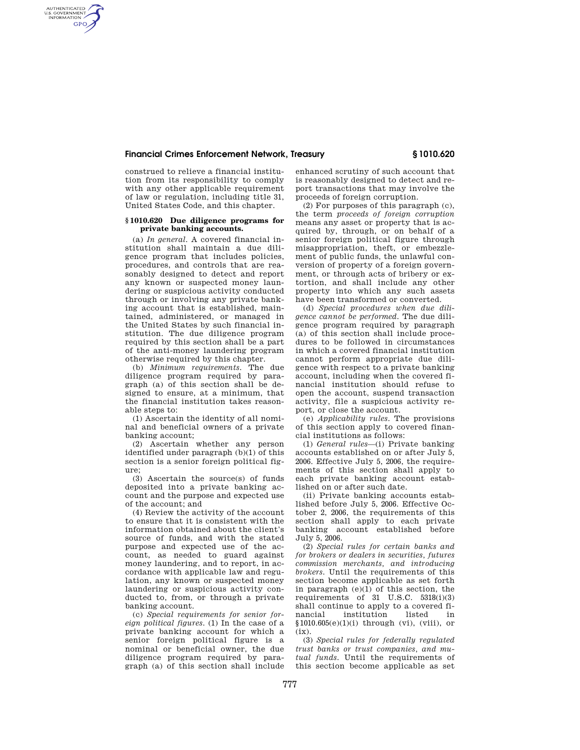## **Financial Crimes Enforcement Network, Treasury § 1010.620**

construed to relieve a financial institution from its responsibility to comply with any other applicable requirement of law or regulation, including title 31, United States Code, and this chapter.

AUTHENTICATED<br>U.S. GOVERNMENT<br>INFORMATION **GPO** 

## **§ 1010.620 Due diligence programs for private banking accounts.**

(a) *In general.* A covered financial institution shall maintain a due diligence program that includes policies, procedures, and controls that are reasonably designed to detect and report any known or suspected money laundering or suspicious activity conducted through or involving any private banking account that is established, maintained, administered, or managed in the United States by such financial institution. The due diligence program required by this section shall be a part of the anti-money laundering program otherwise required by this chapter.

(b) *Minimum requirements.* The due diligence program required by paragraph (a) of this section shall be designed to ensure, at a minimum, that the financial institution takes reasonable steps to:

(1) Ascertain the identity of all nominal and beneficial owners of a private banking account;

(2) Ascertain whether any person identified under paragraph (b)(1) of this section is a senior foreign political figure;

(3) Ascertain the source(s) of funds deposited into a private banking account and the purpose and expected use of the account; and

(4) Review the activity of the account to ensure that it is consistent with the information obtained about the client's source of funds, and with the stated purpose and expected use of the account, as needed to guard against money laundering, and to report, in accordance with applicable law and regulation, any known or suspected money laundering or suspicious activity conducted to, from, or through a private banking account.

(c) *Special requirements for senior foreign political figures.* (1) In the case of a private banking account for which a senior foreign political figure is a nominal or beneficial owner, the due diligence program required by paragraph (a) of this section shall include

enhanced scrutiny of such account that is reasonably designed to detect and report transactions that may involve the proceeds of foreign corruption.

(2) For purposes of this paragraph (c), the term *proceeds of foreign corruption*  means any asset or property that is acquired by, through, or on behalf of a senior foreign political figure through misappropriation, theft, or embezzlement of public funds, the unlawful conversion of property of a foreign government, or through acts of bribery or extortion, and shall include any other property into which any such assets have been transformed or converted.

(d) *Special procedures when due diligence cannot be performed.* The due diligence program required by paragraph  $(a)$  of this section shall include procedures to be followed in circumstances in which a covered financial institution cannot perform appropriate due diligence with respect to a private banking account, including when the covered financial institution should refuse to open the account, suspend transaction activity, file a suspicious activity report, or close the account.

(e) *Applicability rules.* The provisions of this section apply to covered financial institutions as follows:

(1) *General rules*—(i) Private banking accounts established on or after July 5, 2006. Effective July 5, 2006, the requirements of this section shall apply to each private banking account established on or after such date.

(ii) Private banking accounts established before July 5, 2006. Effective October 2, 2006, the requirements of this section shall apply to each private banking account established before July 5, 2006.

(2) *Special rules for certain banks and for brokers or dealers in securities, futures commission merchants, and introducing brokers.* Until the requirements of this section become applicable as set forth in paragraph (e)(1) of this section, the requirements of  $31 \text{ U.S.C. } 5318(i)(3)$ shall continue to apply to a covered fi-<br>nancial sinustitution listed in institution listed in  $$1010.605(e)(1)(i)$  through (vi), (viii), or  $(ix)$ .

(3) *Special rules for federally regulated trust banks or trust companies, and mutual funds.* Until the requirements of this section become applicable as set